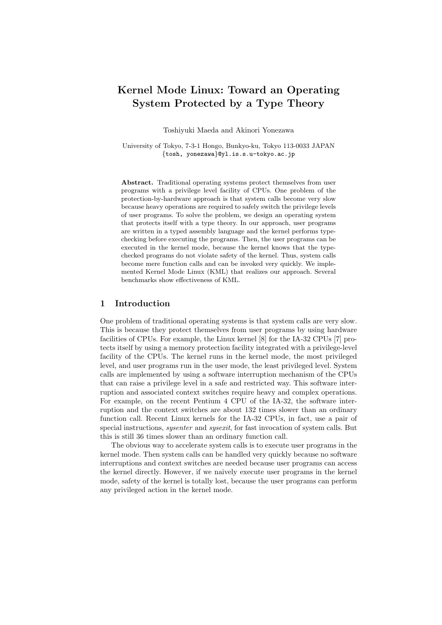# Kernel Mode Linux: Toward an Operating System Protected by a Type Theory

Toshiyuki Maeda and Akinori Yonezawa

University of Tokyo, 7-3-1 Hongo, Bunkyo-ku, Tokyo 113-0033 JAPAN {tosh, yonezawa}@yl.is.s.u-tokyo.ac.jp

Abstract. Traditional operating systems protect themselves from user programs with a privilege level facility of CPUs. One problem of the protection-by-hardware approach is that system calls become very slow because heavy operations are required to safely switch the privilege levels of user programs. To solve the problem, we design an operating system that protects itself with a type theory. In our approach, user programs are written in a typed assembly language and the kernel performs typechecking before executing the programs. Then, the user programs can be executed in the kernel mode, because the kernel knows that the typechecked programs do not violate safety of the kernel. Thus, system calls become mere function calls and can be invoked very quickly. We implemented Kernel Mode Linux (KML) that realizes our approach. Several benchmarks show effectiveness of KML.

# 1 Introduction

One problem of traditional operating systems is that system calls are very slow. This is because they protect themselves from user programs by using hardware facilities of CPUs. For example, the Linux kernel [8] for the IA-32 CPUs [7] protects itself by using a memory protection facility integrated with a privilege-level facility of the CPUs. The kernel runs in the kernel mode, the most privileged level, and user programs run in the user mode, the least privileged level. System calls are implemented by using a software interruption mechanism of the CPUs that can raise a privilege level in a safe and restricted way. This software interruption and associated context switches require heavy and complex operations. For example, on the recent Pentium 4 CPU of the IA-32, the software interruption and the context switches are about 132 times slower than an ordinary function call. Recent Linux kernels for the IA-32 CPUs, in fact, use a pair of special instructions, *sysenter* and *sysexit*, for fast invocation of system calls. But this is still 36 times slower than an ordinary function call.

The obvious way to accelerate system calls is to execute user programs in the kernel mode. Then system calls can be handled very quickly because no software interruptions and context switches are needed because user programs can access the kernel directly. However, if we naively execute user programs in the kernel mode, safety of the kernel is totally lost, because the user programs can perform any privileged action in the kernel mode.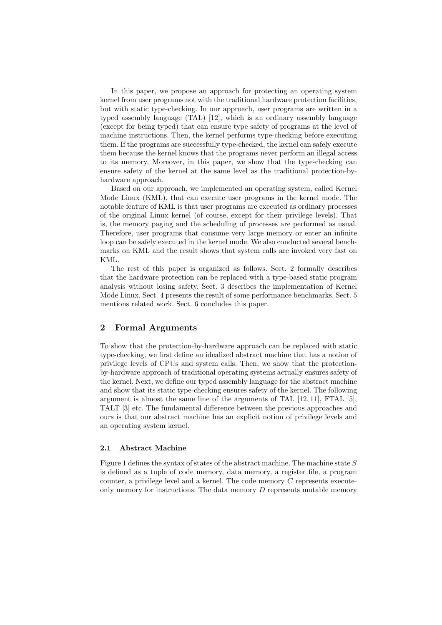In this paper, we propose an approach for protecting an operating system kernel from user programs not with the traditional hardware protection facilities, but with static type-checking. In our approach, user programs are written in a typed assembly language (TAL) [12], which is an ordinary assembly language (except for being typed) that can ensure type safety of programs at the level of machine instructions. Then, the kernel performs type-checking before executing them. If the programs are successfully type-checked, the kernel can safely execute them because the kernel knows that the programs never perform an illegal access to its memory. Moreover, in this paper, we show that the type-checking can ensure safety of the kernel at the same level as the traditional protection-byhardware approach.

Based on our approach, we implemented an operating system, called Kernel Mode Linux (KML), that can execute user programs in the kernel mode. The notable feature of KML is that user programs are executed as ordinary processes of the original Linux kernel (of course, except for their privilege levels). That is, the memory paging and the scheduling of processes are performed as usual. Therefore, user programs that consume very large memory or enter an infinite loop can be safely executed in the kernel mode. We also conducted several benchmarks on KML and the result shows that system calls are invoked very fast on KML.

The rest of this paper is organized as follows. Sect. 2 formally describes that the hardware protection can be replaced with a type-based static program analysis without losing safety. Sect. 3 describes the implementation of Kernel Mode Linux. Sect. 4 presents the result of some performance benchmarks. Sect. 5 mentions related work. Sect. 6 concludes this paper.

# 2 Formal Arguments

To show that the protection-by-hardware approach can be replaced with static type-checking, we first define an idealized abstract machine that has a notion of privilege levels of CPUs and system calls. Then, we show that the protectionby-hardware approach of traditional operating systems actually ensures safety of the kernel. Next, we define our typed assembly language for the abstract machine and show that its static type-checking ensures safety of the kernel. The following argument is almost the same line of the arguments of TAL  $[12, 11]$ , FTAL  $[5]$ , TALT [3] etc. The fundamental difference between the previous approaches and ours is that our abstract machine has an explicit notion of privilege levels and an operating system kernel.

#### 2.1 Abstract Machine

Figure 1 defines the syntax of states of the abstract machine. The machine state S is defined as a tuple of code memory, data memory, a register file, a program counter, a privilege level and a kernel. The code memory C represents executeonly memory for instructions. The data memory  $D$  represents mutable memory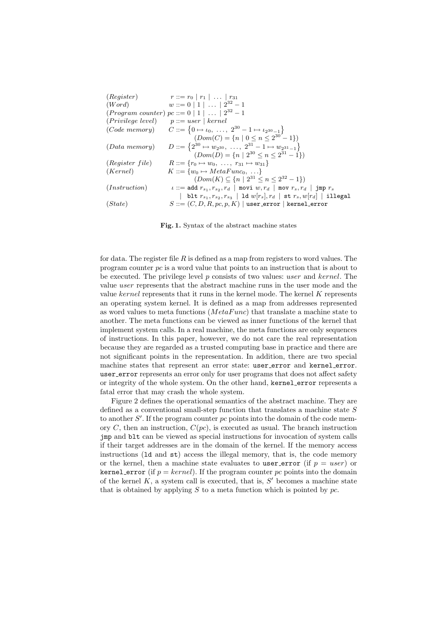| (Requester)        | $r ::= r_0   r_1   \ldots   r_{31}$                                                          |
|--------------------|----------------------------------------------------------------------------------------------|
| (Word)             | $w ::= 0   1   \ldots   2^{32} - 1$                                                          |
|                    | ( <i>Program counter</i> ) $pc ::= 0   1      2^{32} - 1$                                    |
|                    | $(Privilege level)$ $p ::= user   kernal$                                                    |
|                    | $(Code \ memory)$ $C ::= \{0 \mapsto \iota_0, \dots, 2^{30} - 1 \mapsto \iota_{2^{30}-1}\}\$ |
|                    | $(Dom(C) = \{n \mid 0 \le n \le 2^{30} - 1\})$                                               |
| $(Data \, memory)$ | $D ::= \{2^{30} \mapsto w_{2^{30}}, \ldots, 2^{31} - 1 \mapsto w_{2^{31}-1}\}$               |
|                    | $(Dom(D) = \{n \mid 2^{30} \le n \le 2^{31} - 1\})$                                          |
| (Requester file)   | $R ::= \{r_0 \mapsto w_0, \ldots, r_{31} \mapsto w_{31}\}\$                                  |
| (Kernel)           | $K ::= \{w_0 \mapsto MetaFunc_0, \ldots\}$                                                   |
|                    | $(Dom(K) \subseteq \{n \mid 2^{31} \le n \le 2^{32} - 1\})$                                  |
| (Instruction)      | $\iota ::=$ add $r_{s_1}, r_{s_2}, r_d$   movi $w, r_d$   mov $r_s, r_d$   jmp $r_s$         |
|                    | blt $r_{s_1}, r_{s_2}, r_{s_3}$   1d $w[r_s], r_d$   st $r_s, w[r_d]$   illegal              |
| (State)            | $S ::= (C, D, R, pc, p, K)$   user_error   kernel_error                                      |

Fig. 1. Syntax of the abstract machine states

for data. The register file R is defined as a map from registers to word values. The program counter pc is a word value that points to an instruction that is about to be executed. The privilege level p consists of two values: user and kernel. The value user represents that the abstract machine runs in the user mode and the value kernel represents that it runs in the kernel mode. The kernel  $K$  represents an operating system kernel. It is defined as a map from addresses represented as word values to meta functions  $(MetaFunc)$  that translate a machine state to another. The meta functions can be viewed as inner functions of the kernel that implement system calls. In a real machine, the meta functions are only sequences of instructions. In this paper, however, we do not care the real representation because they are regarded as a trusted computing base in practice and there are not significant points in the representation. In addition, there are two special machine states that represent an error state: user error and kernel error. user\_error represents an error only for user programs that does not affect safety or integrity of the whole system. On the other hand, kernel error represents a fatal error that may crash the whole system.

Figure 2 defines the operational semantics of the abstract machine. They are defined as a conventional small-step function that translates a machine state S to another  $S'$ . If the program counter  $pc$  points into the domain of the code memory C, then an instruction,  $C(pc)$ , is executed as usual. The branch instruction jmp and blt can be viewed as special instructions for invocation of system calls if their target addresses are in the domain of the kernel. If the memory access instructions (ld and st) access the illegal memory, that is, the code memory or the kernel, then a machine state evaluates to user\_error (if  $p = user$ ) or kernel error (if  $p = kernel$ ). If the program counter pc points into the domain of the kernel  $K$ , a system call is executed, that is,  $S'$  becomes a machine state that is obtained by applying  $S$  to a meta function which is pointed by pc.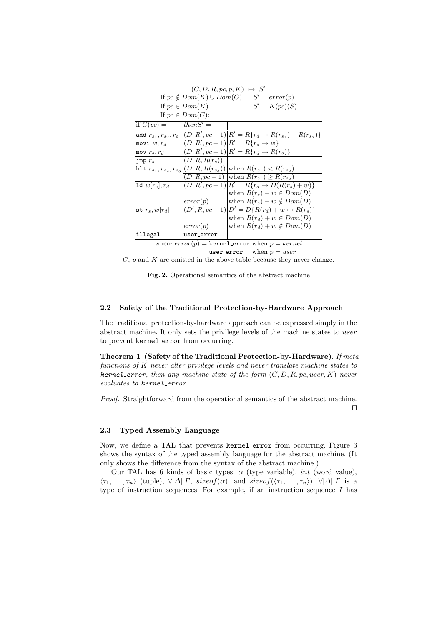| $(C, D, R, pc, p, K) \rightarrow S'$                     |                      |                                                                                       |  |  |  |  |
|----------------------------------------------------------|----------------------|---------------------------------------------------------------------------------------|--|--|--|--|
| If $pc \notin Dom(K) \cup Dom(C)$ $S' = error(p)$        |                      |                                                                                       |  |  |  |  |
| $S' = K(pc)(S)$<br>If $pc \in Dom(K)$                    |                      |                                                                                       |  |  |  |  |
|                                                          | If $pc \in Dom(C)$ : |                                                                                       |  |  |  |  |
| if $C(pc) =$                                             | $then S' =$          |                                                                                       |  |  |  |  |
| add $r_{s_1}, r_{s_2}, r_d$                              |                      | $ (D, R', pc + 1) R' = R{r_d \mapsto R(r_{s_1}) + R(r_{s_2})}\rangle$                 |  |  |  |  |
| movi $w, r_d$                                            |                      | $ (D, R', \overline{pc + 1})  R' = R\{r_d \mapsto w\}$                                |  |  |  |  |
| mov $r_s$ , $r_d$                                        |                      | $(D, R', pc+1)   R' = R\{r_d \mapsto R(r_s)\}\}$                                      |  |  |  |  |
| $\mathop{\text{imp}} r_s$                                | $(D, R, R(r_s))$     |                                                                                       |  |  |  |  |
|                                                          |                      | blt $r_{s_1}, r_{s_2}, r_{s_3}   (D, R, R(r_{s_3}))  $ when $R(r_{s_1}) < R(r_{s_2})$ |  |  |  |  |
|                                                          |                      | $(D, R, pc + 1)$ when $R(r_{s_1}) \ge R(r_{s_2})$                                     |  |  |  |  |
| 1d $w[r_s], r_d$                                         |                      | $(D, R', pc + 1)   R' = R\{r_d \mapsto D(R(r_s) + w)\}\$                              |  |  |  |  |
|                                                          |                      | when $R(r_s) + w \in Dom(D)$                                                          |  |  |  |  |
|                                                          | error(p)             | when $R(r_s) + w \notin Dom(D)$                                                       |  |  |  |  |
| st $r_s, w r_d $                                         |                      | $(D', R, pc + 1) D' = D\{R(r_d) + w \mapsto R(r_s)\}\$                                |  |  |  |  |
|                                                          |                      | when $R(r_d) + w \in Dom(D)$                                                          |  |  |  |  |
|                                                          | error(p)             | when $R(r_d) + w \notin Dom(D)$                                                       |  |  |  |  |
| illegal                                                  | user_error           |                                                                                       |  |  |  |  |
| where $error(p) = \text{kernel_error}$ when $p = kernel$ |                      |                                                                                       |  |  |  |  |

user\_error when  $p = user$ 

 $C, p$  and  $K$  are omitted in the above table because they never change.

Fig. 2. Operational semantics of the abstract machine

#### 2.2 Safety of the Traditional Protection-by-Hardware Approach

The traditional protection-by-hardware approach can be expressed simply in the abstract machine. It only sets the privilege levels of the machine states to user to prevent kernel error from occurring.

Theorem 1 (Safety of the Traditional Protection-by-Hardware). If meta functions of K never alter privilege levels and never translate machine states to **kernel error,** then any machine state of the form  $(C, D, R, pc, user, K)$  never evaluates to kernel\_error.

Proof. Straightforward from the operational semantics of the abstract machine.  $\Box$ 

#### 2.3 Typed Assembly Language

Now, we define a TAL that prevents kernel error from occurring. Figure 3 shows the syntax of the typed assembly language for the abstract machine. (It only shows the difference from the syntax of the abstract machine.)

Our TAL has 6 kinds of basic types:  $\alpha$  (type variable), *int* (word value),  $\langle \tau_1, \ldots, \tau_n \rangle$  (tuple),  $\forall [\Delta] \cdot \Gamma$ , sizeof( $\alpha$ ), and sizeof( $\langle \tau_1, \ldots, \tau_n \rangle$ ).  $\forall [\Delta] \cdot \Gamma$  is a type of instruction sequences. For example, if an instruction sequence  $I$  has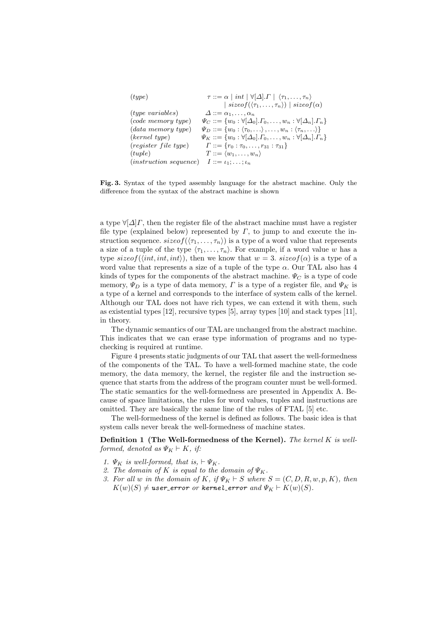| (type)                        | $\tau ::= \alpha \mid int \mid \forall [\Delta] \cdot \Gamma \mid \langle \tau_1, \ldots, \tau_n \rangle$ |
|-------------------------------|-----------------------------------------------------------------------------------------------------------|
|                               | $\mid \text{sizeof}(\langle \tau_1,\ldots,\tau_n\rangle) \mid \text{sizeof}(\alpha)$                      |
| $(type\ variables)$           | $\Delta ::= \alpha_1, \ldots, \alpha_n$                                                                   |
| $(code \, memory \, type)$    | $\Psi_C ::= \{w_0 : \forall [\Delta_0]. \Gamma_0, \ldots, w_n : \forall [\Delta_n]. \Gamma_n\}$           |
| $(data \ memory \ type)$      | $\Psi_D ::= \{w_0 : \langle \tau_0, \ldots \rangle, \ldots, w_n : \langle \tau_n, \ldots \rangle\}$       |
| (kernel type)                 | $\Psi_K ::= \{w_0 : \forall [\Delta_0] . \Gamma_0, \ldots, w_n : \forall [\Delta_n] . \Gamma_n\}$         |
| ( <i>register file type</i> ) | $\Gamma ::= \{r_0 : \tau_0, \ldots, r_{31} : \tau_{31}\}\$                                                |
| (tuple)                       | $T ::= \langle w_1, \ldots, w_n \rangle$                                                                  |
| $(instruction\ sequence)$     | $I ::= \iota_1; \ldots; \iota_n$                                                                          |

Fig. 3. Syntax of the typed assembly language for the abstract machine. Only the difference from the syntax of the abstract machine is shown

a type  $\forall [\Delta] \Gamma$ , then the register file of the abstract machine must have a register file type (explained below) represented by  $\Gamma$ , to jump to and execute the instruction sequence.  $sizeof(\langle \tau_1, \ldots, \tau_n \rangle)$  is a type of a word value that represents a size of a tuple of the type  $\langle \tau_1, \ldots, \tau_n \rangle$ . For example, if a word value w has a type  $sizeof(\langle int, int, int \rangle)$ , then we know that  $w = 3$ .  $sizeof(\alpha)$  is a type of a word value that represents a size of a tuple of the type  $\alpha$ . Our TAL also has 4 kinds of types for the components of the abstract machine.  $\Psi_C$  is a type of code memory,  $\Psi_D$  is a type of data memory,  $\Gamma$  is a type of a register file, and  $\Psi_K$  is a type of a kernel and corresponds to the interface of system calls of the kernel. Although our TAL does not have rich types, we can extend it with them, such as existential types [12], recursive types [5], array types [10] and stack types [11], in theory.

The dynamic semantics of our TAL are unchanged from the abstract machine. This indicates that we can erase type information of programs and no typechecking is required at runtime.

Figure 4 presents static judgments of our TAL that assert the well-formedness of the components of the TAL. To have a well-formed machine state, the code memory, the data memory, the kernel, the register file and the instruction sequence that starts from the address of the program counter must be well-formed. The static semantics for the well-formedness are presented in Appendix A. Because of space limitations, the rules for word values, tuples and instructions are omitted. They are basically the same line of the rules of FTAL [5] etc.

The well-formedness of the kernel is defined as follows. The basic idea is that system calls never break the well-formedness of machine states.

Definition 1 (The Well-formedness of the Kernel). The kernel K is wellformed, denoted as  $\Psi_K \vdash K$ , if:

- 1.  $\Psi_K$  is well-formed, that is,  $\vdash \Psi_K$ .
- 2. The domain of K is equal to the domain of  $\Psi_K$ .
- 3. For all w in the domain of K, if  $\Psi_K \vdash S$  where  $S = (C, D, R, w, p, K)$ , then  $K(w)(S) \neq$  user\_error or kernel\_error and  $\Psi_K \vdash K(w)(S)$ .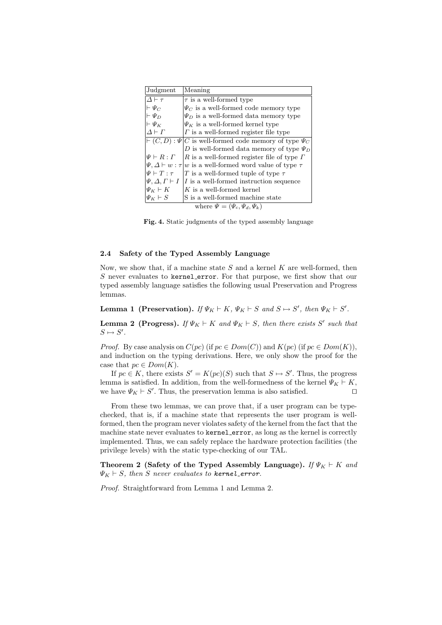| Judgment                                | Meaning                                                                              |  |  |
|-----------------------------------------|--------------------------------------------------------------------------------------|--|--|
| $\Delta \vdash \tau$                    | $\tau$ is a well-formed type                                                         |  |  |
| $\vdash \varPsi_C$                      | $\Psi_C$ is a well-formed code memory type                                           |  |  |
| $\vdash \varPsi_D$                      | $\Psi_D$ is a well-formed data memory type                                           |  |  |
| $\vdash \varPsi_K$                      | $\Psi_K$ is a well-formed kernel type                                                |  |  |
| $\varDelta \vdash \varGamma$            | $\Gamma$ is a well-formed register file type                                         |  |  |
|                                         | $\vdash (C, D) : \Psi   C$ is well-formed code memory of type $\Psi_C$               |  |  |
|                                         | D is well-formed data memory of type $\Psi_D$                                        |  |  |
| $\Psi \vdash R : \Gamma$                | $R$ is a well-formed register file of type $\Gamma$                                  |  |  |
|                                         | $\Psi$ , $\Delta \vdash w : \tau \vert w$ is a well-formed word value of type $\tau$ |  |  |
| $\Psi \vdash T : \tau$                  | T is a well-formed tuple of type $\tau$                                              |  |  |
| $\Psi, \Delta, \Gamma \vdash I$         | $ I $ is a well-formed instruction sequence                                          |  |  |
| $\Psi_K \vdash K$                       | $K$ is a well-formed kernel                                                          |  |  |
| $\Psi_K \vdash S$                       | S is a well-formed machine state                                                     |  |  |
| where $\Psi = (\Psi_c, \Psi_d, \Psi_k)$ |                                                                                      |  |  |

Fig. 4. Static judgments of the typed assembly language

#### 2.4 Safety of the Typed Assembly Language

Now, we show that, if a machine state  $S$  and a kernel  $K$  are well-formed, then S never evaluates to kernel error. For that purpose, we first show that our typed assembly language satisfies the following usual Preservation and Progress lemmas.

**Lemma 1 (Preservation).** If  $\Psi_K \vdash K$ ,  $\Psi_K \vdash S$  and  $S \mapsto S'$ , then  $\Psi_K \vdash S'$ .

**Lemma 2 (Progress).** If  $\Psi_K \vdash K$  and  $\Psi_K \vdash S$ , then there exists S' such that  $S \mapsto S'.$ 

*Proof.* By case analysis on  $C(pc)$  (if  $pc \in Dom(C)$ ) and  $K(pc)$  (if  $pc \in Dom(K)$ ), and induction on the typing derivations. Here, we only show the proof for the case that  $pc \in Dom(K)$ .

If  $pc \in K$ , there exists  $S' = K(pc)(S)$  such that  $S \mapsto S'$ . Thus, the progress lemma is satisfied. In addition, from the well-formedness of the kernel  $\Psi_K \vdash K$ , we have  $\Psi_K \vdash S'$ . Thus, the preservation lemma is also satisfied.

From these two lemmas, we can prove that, if a user program can be typechecked, that is, if a machine state that represents the user program is wellformed, then the program never violates safety of the kernel from the fact that the machine state never evaluates to kernel\_error, as long as the kernel is correctly implemented. Thus, we can safely replace the hardware protection facilities (the privilege levels) with the static type-checking of our TAL.

Theorem 2 (Safety of the Typed Assembly Language). If  $\Psi_K \vdash K$  and  $\Psi_K \vdash S$ , then S never evaluates to kernel\_error.

Proof. Straightforward from Lemma 1 and Lemma 2.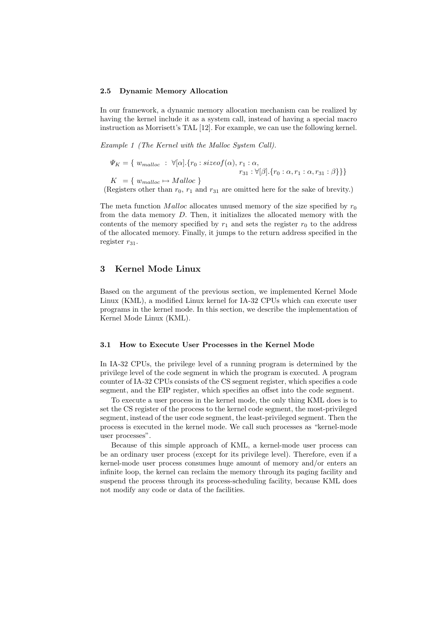#### 2.5 Dynamic Memory Allocation

In our framework, a dynamic memory allocation mechanism can be realized by having the kernel include it as a system call, instead of having a special macro instruction as Morrisett's TAL [12]. For example, we can use the following kernel.

Example 1 (The Kernel with the Malloc System Call).

$$
\Psi_K = \{ w_{malloc} : \forall [\alpha]. \{r_0 : sizeof(\alpha), r_1 : \alpha, r_{31} : \forall [\beta]. \{r_0 : \alpha, r_1 : \alpha, r_{31} : \beta\} \}
$$
\n
$$
K = \{ w_{malloc} \mapsto \text{Malloc } \}
$$

(Registers other than  $r_0$ ,  $r_1$  and  $r_{31}$  are omitted here for the sake of brevity.)

The meta function *M* allocates unused memory of the size specified by  $r_0$ from the data memory  $D$ . Then, it initializes the allocated memory with the contents of the memory specified by  $r_1$  and sets the register  $r_0$  to the address of the allocated memory. Finally, it jumps to the return address specified in the register  $r_{31}$ .

# 3 Kernel Mode Linux

Based on the argument of the previous section, we implemented Kernel Mode Linux (KML), a modified Linux kernel for IA-32 CPUs which can execute user programs in the kernel mode. In this section, we describe the implementation of Kernel Mode Linux (KML).

#### 3.1 How to Execute User Processes in the Kernel Mode

In IA-32 CPUs, the privilege level of a running program is determined by the privilege level of the code segment in which the program is executed. A program counter of IA-32 CPUs consists of the CS segment register, which specifies a code segment, and the EIP register, which specifies an offset into the code segment.

To execute a user process in the kernel mode, the only thing KML does is to set the CS register of the process to the kernel code segment, the most-privileged segment, instead of the user code segment, the least-privileged segment. Then the process is executed in the kernel mode. We call such processes as "kernel-mode user processes".

Because of this simple approach of KML, a kernel-mode user process can be an ordinary user process (except for its privilege level). Therefore, even if a kernel-mode user process consumes huge amount of memory and/or enters an infinite loop, the kernel can reclaim the memory through its paging facility and suspend the process through its process-scheduling facility, because KML does not modify any code or data of the facilities.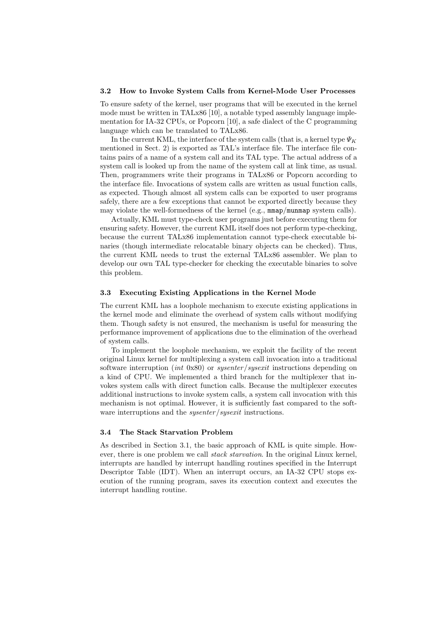#### 3.2 How to Invoke System Calls from Kernel-Mode User Processes

To ensure safety of the kernel, user programs that will be executed in the kernel mode must be written in TALx86 [10], a notable typed assembly language implementation for IA-32 CPUs, or Popcorn [10], a safe dialect of the C programming language which can be translated to TALx86.

In the current KML, the interface of the system calls (that is, a kernel type  $\Psi_K$ mentioned in Sect. 2) is exported as TAL's interface file. The interface file contains pairs of a name of a system call and its TAL type. The actual address of a system call is looked up from the name of the system call at link time, as usual. Then, programmers write their programs in TALx86 or Popcorn according to the interface file. Invocations of system calls are written as usual function calls, as expected. Though almost all system calls can be exported to user programs safely, there are a few exceptions that cannot be exported directly because they may violate the well-formedness of the kernel (e.g., mmap/munmap system calls).

Actually, KML must type-check user programs just before executing them for ensuring safety. However, the current KML itself does not perform type-checking, because the current TALx86 implementation cannot type-check executable binaries (though intermediate relocatable binary objects can be checked). Thus, the current KML needs to trust the external TALx86 assembler. We plan to develop our own TAL type-checker for checking the executable binaries to solve this problem.

#### 3.3 Executing Existing Applications in the Kernel Mode

The current KML has a loophole mechanism to execute existing applications in the kernel mode and eliminate the overhead of system calls without modifying them. Though safety is not ensured, the mechanism is useful for measuring the performance improvement of applications due to the elimination of the overhead of system calls.

To implement the loophole mechanism, we exploit the facility of the recent original Linux kernel for multiplexing a system call invocation into a traditional software interruption *(int 0x80)* or *sysenter/sysexit* instructions depending on a kind of CPU. We implemented a third branch for the multiplexer that invokes system calls with direct function calls. Because the multiplexer executes additional instructions to invoke system calls, a system call invocation with this mechanism is not optimal. However, it is sufficiently fast compared to the software interruptions and the *sysenter*/*sysexit* instructions.

## 3.4 The Stack Starvation Problem

As described in Section 3.1, the basic approach of KML is quite simple. However, there is one problem we call *stack starvation*. In the original Linux kernel, interrupts are handled by interrupt handling routines specified in the Interrupt Descriptor Table (IDT). When an interrupt occurs, an IA-32 CPU stops execution of the running program, saves its execution context and executes the interrupt handling routine.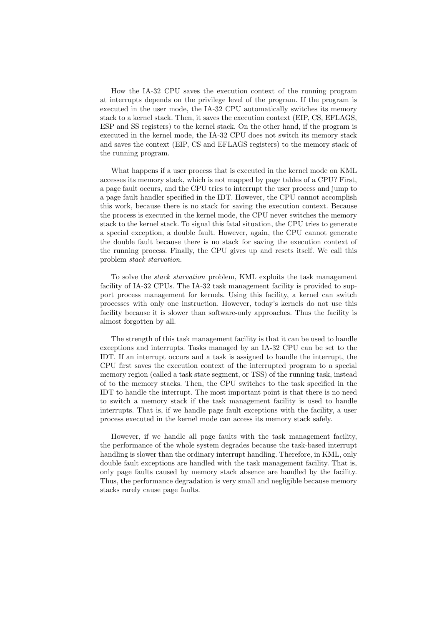How the IA-32 CPU saves the execution context of the running program at interrupts depends on the privilege level of the program. If the program is executed in the user mode, the IA-32 CPU automatically switches its memory stack to a kernel stack. Then, it saves the execution context (EIP, CS, EFLAGS, ESP and SS registers) to the kernel stack. On the other hand, if the program is executed in the kernel mode, the IA-32 CPU does not switch its memory stack and saves the context (EIP, CS and EFLAGS registers) to the memory stack of the running program.

What happens if a user process that is executed in the kernel mode on KML accesses its memory stack, which is not mapped by page tables of a CPU? First, a page fault occurs, and the CPU tries to interrupt the user process and jump to a page fault handler specified in the IDT. However, the CPU cannot accomplish this work, because there is no stack for saving the execution context. Because the process is executed in the kernel mode, the CPU never switches the memory stack to the kernel stack. To signal this fatal situation, the CPU tries to generate a special exception, a double fault. However, again, the CPU cannot generate the double fault because there is no stack for saving the execution context of the running process. Finally, the CPU gives up and resets itself. We call this problem stack starvation.

To solve the stack starvation problem, KML exploits the task management facility of IA-32 CPUs. The IA-32 task management facility is provided to support process management for kernels. Using this facility, a kernel can switch processes with only one instruction. However, today's kernels do not use this facility because it is slower than software-only approaches. Thus the facility is almost forgotten by all.

The strength of this task management facility is that it can be used to handle exceptions and interrupts. Tasks managed by an IA-32 CPU can be set to the IDT. If an interrupt occurs and a task is assigned to handle the interrupt, the CPU first saves the execution context of the interrupted program to a special memory region (called a task state segment, or TSS) of the running task, instead of to the memory stacks. Then, the CPU switches to the task specified in the IDT to handle the interrupt. The most important point is that there is no need to switch a memory stack if the task management facility is used to handle interrupts. That is, if we handle page fault exceptions with the facility, a user process executed in the kernel mode can access its memory stack safely.

However, if we handle all page faults with the task management facility, the performance of the whole system degrades because the task-based interrupt handling is slower than the ordinary interrupt handling. Therefore, in KML, only double fault exceptions are handled with the task management facility. That is, only page faults caused by memory stack absence are handled by the facility. Thus, the performance degradation is very small and negligible because memory stacks rarely cause page faults.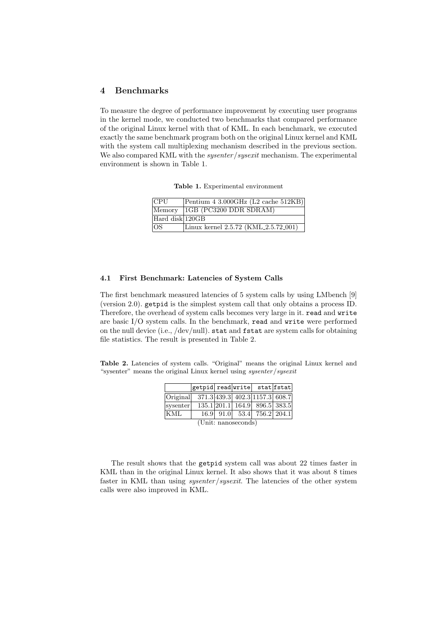# 4 Benchmarks

To measure the degree of performance improvement by executing user programs in the kernel mode, we conducted two benchmarks that compared performance of the original Linux kernel with that of KML. In each benchmark, we executed exactly the same benchmark program both on the original Linux kernel and KML with the system call multiplexing mechanism described in the previous section. We also compared KML with the *sysenter*/sysexit mechanism. The experimental environment is shown in Table 1.

Table 1. Experimental environment

| CPU.                         | $\left \text{Pentium } 4\ 3.000\text{GHz} \right $ (L2 cache 512KB) |
|------------------------------|---------------------------------------------------------------------|
|                              | Memory   1GB (PC3200 DDR SDRAM)                                     |
| Hard disk $120\overline{GB}$ |                                                                     |
| OS                           | Linux kernel 2.5.72 (KML_2.5.72_001)                                |

# 4.1 First Benchmark: Latencies of System Calls

The first benchmark measured latencies of 5 system calls by using LMbench [9] (version 2.0). getpid is the simplest system call that only obtains a process ID. Therefore, the overhead of system calls becomes very large in it. read and write are basic I/O system calls. In the benchmark, read and write were performed on the null device (i.e., /dev/null). stat and fstat are system calls for obtaining file statistics. The result is presented in Table 2.

Table 2. Latencies of system calls. "Original" means the original Linux kernel and "sysenter" means the original Linux kernel using sysenter/sysexit

|                                         | getpid read write stat fstat |  |  |                               |  |
|-----------------------------------------|------------------------------|--|--|-------------------------------|--|
| Original 371.3 439.3 402.3 1157.3 608.7 |                              |  |  |                               |  |
| sysenter                                |                              |  |  | 135.1 201.1 164.9 896.5 383.5 |  |
| KML                                     |                              |  |  | $16.9$ 91.0 53.4 756.2 204.1  |  |
| (Unit: nanoseconds)                     |                              |  |  |                               |  |

(Unit: nanoseconds)

The result shows that the getpid system call was about 22 times faster in KML than in the original Linux kernel. It also shows that it was about 8 times faster in KML than using *sysenter/sysexit*. The latencies of the other system calls were also improved in KML.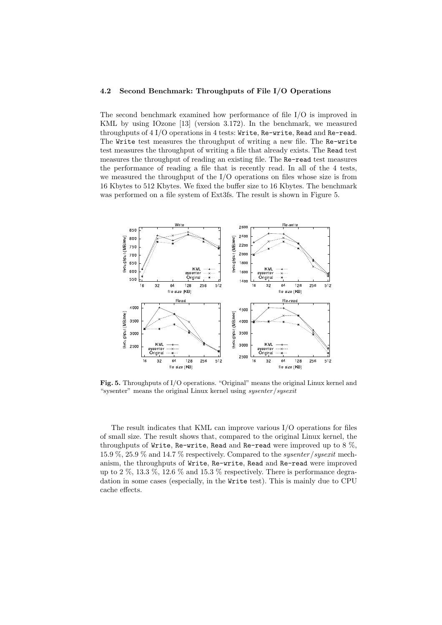#### 4.2 Second Benchmark: Throughputs of File I/O Operations

The second benchmark examined how performance of file I/O is improved in KML by using IOzone [13] (version 3.172). In the benchmark, we measured throughputs of 4 I/O operations in 4 tests: Write, Re-write, Read and Re-read. The Write test measures the throughput of writing a new file. The Re-write test measures the throughput of writing a file that already exists. The Read test measures the throughput of reading an existing file. The Re-read test measures the performance of reading a file that is recently read. In all of the 4 tests, we measured the throughput of the I/O operations on files whose size is from 16 Kbytes to 512 Kbytes. We fixed the buffer size to 16 Kbytes. The benchmark was performed on a file system of Ext3fs. The result is shown in Figure 5.



Fig. 5. Throughputs of I/O operations. "Original" means the original Linux kernel and "sysenter" means the original Linux kernel using sysenter/sysexit

The result indicates that KML can improve various I/O operations for files of small size. The result shows that, compared to the original Linux kernel, the throughputs of Write, Re-write, Read and Re-read were improved up to 8 %, 15.9 %, 25.9 % and 14.7 % respectively. Compared to the sysenter/sysexit mechanism, the throughputs of Write, Re-write, Read and Re-read were improved up to 2  $\%$ , 13.3  $\%$ , 12.6  $\%$  and 15.3  $\%$  respectively. There is performance degradation in some cases (especially, in the Write test). This is mainly due to CPU cache effects.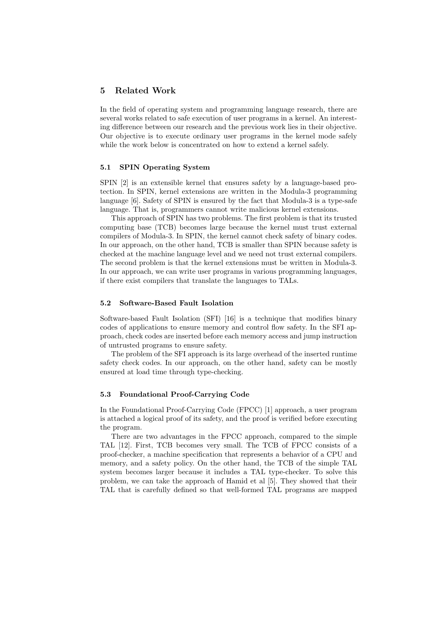# 5 Related Work

In the field of operating system and programming language research, there are several works related to safe execution of user programs in a kernel. An interesting difference between our research and the previous work lies in their objective. Our objective is to execute ordinary user programs in the kernel mode safely while the work below is concentrated on how to extend a kernel safely.

# 5.1 SPIN Operating System

SPIN [2] is an extensible kernel that ensures safety by a language-based protection. In SPIN, kernel extensions are written in the Modula-3 programming language [6]. Safety of SPIN is ensured by the fact that Modula-3 is a type-safe language. That is, programmers cannot write malicious kernel extensions.

This approach of SPIN has two problems. The first problem is that its trusted computing base (TCB) becomes large because the kernel must trust external compilers of Modula-3. In SPIN, the kernel cannot check safety of binary codes. In our approach, on the other hand, TCB is smaller than SPIN because safety is checked at the machine language level and we need not trust external compilers. The second problem is that the kernel extensions must be written in Modula-3. In our approach, we can write user programs in various programming languages, if there exist compilers that translate the languages to TALs.

## 5.2 Software-Based Fault Isolation

Software-based Fault Isolation (SFI) [16] is a technique that modifies binary codes of applications to ensure memory and control flow safety. In the SFI approach, check codes are inserted before each memory access and jump instruction of untrusted programs to ensure safety.

The problem of the SFI approach is its large overhead of the inserted runtime safety check codes. In our approach, on the other hand, safety can be mostly ensured at load time through type-checking.

## 5.3 Foundational Proof-Carrying Code

In the Foundational Proof-Carrying Code (FPCC) [1] approach, a user program is attached a logical proof of its safety, and the proof is verified before executing the program.

There are two advantages in the FPCC approach, compared to the simple TAL [12]. First, TCB becomes very small. The TCB of FPCC consists of a proof-checker, a machine specification that represents a behavior of a CPU and memory, and a safety policy. On the other hand, the TCB of the simple TAL system becomes larger because it includes a TAL type-checker. To solve this problem, we can take the approach of Hamid et al [5]. They showed that their TAL that is carefully defined so that well-formed TAL programs are mapped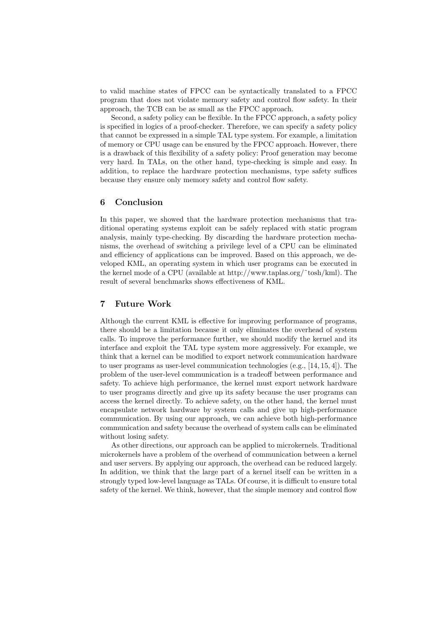to valid machine states of FPCC can be syntactically translated to a FPCC program that does not violate memory safety and control flow safety. In their approach, the TCB can be as small as the FPCC approach.

Second, a safety policy can be flexible. In the FPCC approach, a safety policy is specified in logics of a proof-checker. Therefore, we can specify a safety policy that cannot be expressed in a simple TAL type system. For example, a limitation of memory or CPU usage can be ensured by the FPCC approach. However, there is a drawback of this flexibility of a safety policy: Proof generation may become very hard. In TALs, on the other hand, type-checking is simple and easy. In addition, to replace the hardware protection mechanisms, type safety suffices because they ensure only memory safety and control flow safety.

## 6 Conclusion

In this paper, we showed that the hardware protection mechanisms that traditional operating systems exploit can be safely replaced with static program analysis, mainly type-checking. By discarding the hardware protection mechanisms, the overhead of switching a privilege level of a CPU can be eliminated and efficiency of applications can be improved. Based on this approach, we developed KML, an operating system in which user programs can be executed in the kernel mode of a CPU (available at http://www.taplas.org/˜tosh/kml). The result of several benchmarks shows effectiveness of KML.

# 7 Future Work

Although the current KML is effective for improving performance of programs, there should be a limitation because it only eliminates the overhead of system calls. To improve the performance further, we should modify the kernel and its interface and exploit the TAL type system more aggressively. For example, we think that a kernel can be modified to export network communication hardware to user programs as user-level communication technologies (e.g., [14, 15, 4]). The problem of the user-level communication is a tradeoff between performance and safety. To achieve high performance, the kernel must export network hardware to user programs directly and give up its safety because the user programs can access the kernel directly. To achieve safety, on the other hand, the kernel must encapsulate network hardware by system calls and give up high-performance communication. By using our approach, we can achieve both high-performance communication and safety because the overhead of system calls can be eliminated without losing safety.

As other directions, our approach can be applied to microkernels. Traditional microkernels have a problem of the overhead of communication between a kernel and user servers. By applying our approach, the overhead can be reduced largely. In addition, we think that the large part of a kernel itself can be written in a strongly typed low-level language as TALs. Of course, it is difficult to ensure total safety of the kernel. We think, however, that the simple memory and control flow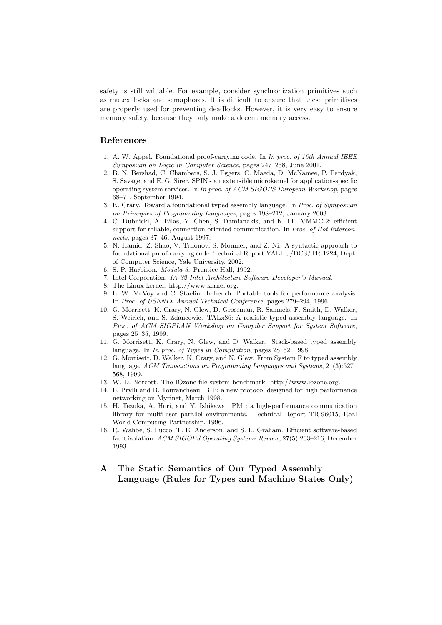safety is still valuable. For example, consider synchronization primitives such as mutex locks and semaphores. It is difficult to ensure that these primitives are properly used for preventing deadlocks. However, it is very easy to ensure memory safety, because they only make a decent memory access.

# References

- 1. A. W. Appel. Foundational proof-carrying code. In In proc. of 16th Annual IEEE Symposium on Logic in Computer Science, pages 247–258, June 2001.
- 2. B. N. Bershad, C. Chambers, S. J. Eggers, C. Maeda, D. McNamee, P. Pardyak, S. Savage, and E. G. Sirer. SPIN - an extensible microkernel for application-specific operating system services. In In proc. of ACM SIGOPS European Workshop, pages 68–71, September 1994.
- 3. K. Crary. Toward a foundational typed assembly language. In Proc. of Symposium on Principles of Programming Languages, pages 198–212, January 2003.
- 4. C. Dubnicki, A. Bilas, Y. Chen, S. Damianakis, and K. Li. VMMC-2: efficient support for reliable, connection-oriented communication. In Proc. of Hot Interconnects, pages 37–46, August 1997.
- 5. N. Hamid, Z. Shao, V. Trifonov, S. Monnier, and Z. Ni. A syntactic approach to foundational proof-carrying code. Technical Report YALEU/DCS/TR-1224, Dept. of Computer Science, Yale University, 2002.
- 6. S. P. Harbison. Modula-3. Prentice Hall, 1992.
- 7. Intel Corporation. IA-32 Intel Architecture Software Developer's Manual.
- 8. The Linux kernel. http://www.kernel.org.
- 9. L. W. McVoy and C. Staelin. lmbench: Portable tools for performance analysis. In Proc. of USENIX Annual Technical Conference, pages 279–294, 1996.
- 10. G. Morrisett, K. Crary, N. Glew, D. Grossman, R. Samuels, F. Smith, D. Walker, S. Weirich, and S. Zdancewic. TALx86: A realistic typed assembly language. In Proc. of ACM SIGPLAN Workshop on Compiler Support for System Software, pages 25–35, 1999.
- 11. G. Morrisett, K. Crary, N. Glew, and D. Walker. Stack-based typed assembly language. In In proc. of Types in Compilation, pages 28–52, 1998.
- 12. G. Morrisett, D. Walker, K. Crary, and N. Glew. From System F to typed assembly language. ACM Transactions on Programming Languages and Systems, 21(3):527– 568, 1999.
- 13. W. D. Norcott. The IOzone file system benchmark. http://www.iozone.org.
- 14. L. Prylli and B. Tourancheau. BIP: a new protocol designed for high performance networking on Myrinet, March 1998.
- 15. H. Tezuka, A. Hori, and Y. Ishikawa. PM : a high-performance communication library for multi-user parallel environments. Technical Report TR-96015, Real World Computing Partnership, 1996.
- 16. R. Wahbe, S. Lucco, T. E. Anderson, and S. L. Graham. Efficient software-based fault isolation. ACM SIGOPS Operating Systems Review, 27(5):203–216, December 1993.
- A The Static Semantics of Our Typed Assembly Language (Rules for Types and Machine States Only)